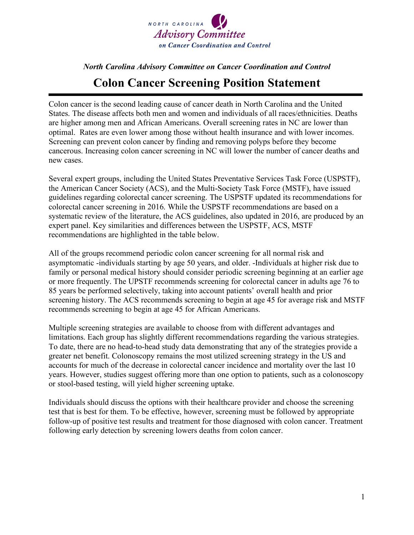

## *North Carolina Advisory Committee on Cancer Coordination and Control* **Colon Cancer Screening Position Statement**

Colon cancer is the second leading cause of cancer death in North Carolina and the United States. The disease affects both men and women and individuals of all races/ethnicities. Deaths are higher among men and African Americans. Overall screening rates in NC are lower than optimal. Rates are even lower among those without health insurance and with lower incomes. Screening can prevent colon cancer by finding and removing polyps before they become cancerous. Increasing colon cancer screening in NC will lower the number of cancer deaths and new cases.

Several expert groups, including the United States Preventative Services Task Force (USPSTF), the American Cancer Society (ACS), and the Multi-Society Task Force (MSTF), have issued guidelines regarding colorectal cancer screening. The USPSTF updated its recommendations for colorectal cancer screening in 2016. While the USPSTF recommendations are based on a systematic review of the literature, the ACS guidelines, also updated in 2016, are produced by an expert panel. Key similarities and differences between the USPSTF, ACS, MSTF recommendations are highlighted in the table below.

All of the groups recommend periodic colon cancer screening for all normal risk and asymptomatic -individuals starting by age 50 years, and older. -Individuals at higher risk due to family or personal medical history should consider periodic screening beginning at an earlier age or more frequently. The UPSTF recommends screening for colorectal cancer in adults age 76 to 85 years be performed selectively, taking into account patients' overall health and prior screening history. The ACS recommends screening to begin at age 45 for average risk and MSTF recommends screening to begin at age 45 for African Americans.

Multiple screening strategies are available to choose from with different advantages and limitations. Each group has slightly different recommendations regarding the various strategies. To date, there are no head-to-head study data demonstrating that any of the strategies provide a greater net benefit. Colonoscopy remains the most utilized screening strategy in the US and accounts for much of the decrease in colorectal cancer incidence and mortality over the last 10 years. However, studies suggest offering more than one option to patients, such as a colonoscopy or stool-based testing, will yield higher screening uptake.

Individuals should discuss the options with their healthcare provider and choose the screening test that is best for them. To be effective, however, screening must be followed by appropriate follow-up of positive test results and treatment for those diagnosed with colon cancer. Treatment following early detection by screening lowers deaths from colon cancer.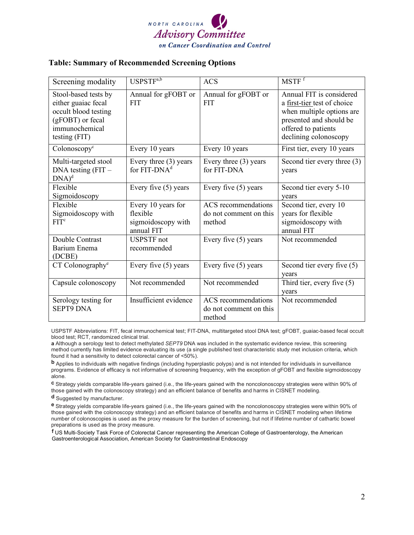

## **Table: Summary of Recommended Screening Options**

| Screening modality                                                                                                         | USPSTF <sup>a,b</sup>                                              | <b>ACS</b>                                              | MSTF <sup>f</sup>                                                                                                                                               |
|----------------------------------------------------------------------------------------------------------------------------|--------------------------------------------------------------------|---------------------------------------------------------|-----------------------------------------------------------------------------------------------------------------------------------------------------------------|
| Stool-based tests by<br>either guaiac fecal<br>occult blood testing<br>(gFOBT) or fecal<br>immunochemical<br>testing (FIT) | Annual for gFOBT or<br><b>FIT</b>                                  | Annual for gFOBT or<br><b>FIT</b>                       | Annual FIT is considered<br>a first-tier test of choice<br>when multiple options are<br>presented and should be<br>offered to patients<br>declining colonoscopy |
| Colonoscopy <sup>c</sup>                                                                                                   | Every 10 years                                                     | Every 10 years                                          | First tier, every 10 years                                                                                                                                      |
| Multi-targeted stool<br>$DNA$ testing $(FIT -$<br>$DNA)^d$                                                                 | Every three $(3)$ years<br>for $FIT-DNAd$                          | Every three (3) years<br>for FIT-DNA                    | Second tier every three (3)<br>years                                                                                                                            |
| Flexible<br>Sigmoidoscopy                                                                                                  | Every five $(5)$ years                                             | Every five $(5)$ years                                  | Second tier every 5-10<br>years                                                                                                                                 |
| Flexible<br>Sigmoidoscopy with<br>FIT <sup>c</sup>                                                                         | Every 10 years for<br>flexible<br>sigmoidoscopy with<br>annual FIT | ACS recommendations<br>do not comment on this<br>method | Second tier, every 10<br>years for flexible<br>sigmoidoscopy with<br>annual FIT                                                                                 |
| Double Contrast<br>Barium Enema<br>(DCBE)                                                                                  | <b>USPSTF</b> not<br>recommended                                   | Every five $(5)$ years                                  | Not recommended                                                                                                                                                 |
| CT Colonography <sup>e</sup>                                                                                               | Every five $(5)$ years                                             | Every five $(5)$ years                                  | Second tier every five (5)<br>years                                                                                                                             |
| Capsule colonoscopy                                                                                                        | Not recommended                                                    | Not recommended                                         | Third tier, every five $(5)$<br>years                                                                                                                           |
| Serology testing for<br><b>SEPT9 DNA</b>                                                                                   | Insufficient evidence                                              | ACS recommendations<br>do not comment on this<br>method | Not recommended                                                                                                                                                 |

USPSTF Abbreviations: FIT, fecal immunochemical test; FIT-DNA, multitargeted stool DNA test; gFOBT, guaiac-based fecal occult blood test; RCT, randomized clinical trial.

**a** Although a serology test to detect methylated *SEPT9* DNA was included in the systematic evidence review, this screening method currently has limited evidence evaluating its use (a single published test characteristic study met inclusion criteria, which found it had a sensitivity to detect colorectal cancer of <50%).

**b** Applies to individuals with negative findings (including hyperplastic polyps) and is not intended for individuals in surveillance programs. Evidence of efficacy is not informative of screening frequency, with the exception of gFOBT and flexible sigmoidoscopy alone.

**c** Strategy yields comparable life-years gained (i.e., the life-years gained with the noncolonoscopy strategies were within 90% of those gained with the colonoscopy strategy) and an efficient balance of benefits and harms in CISNET modeling.

**d** Suggested by manufacturer.

**e** Strategy yields comparable life-years gained (i.e., the life-years gained with the noncolonoscopy strategies were within 90% of those gained with the colonoscopy strategy) and an efficient balance of benefits and harms in CISNET modeling when lifetime number of colonoscopies is used as the proxy measure for the burden of screening, but not if lifetime number of cathartic bowel preparations is used as the proxy measure.

**f** US Multi-Society Task Force of Colorectal Cancer representing the American College of Gastroenterology, the American Gastroenterological Association, American Society for Gastrointestinal Endoscopy